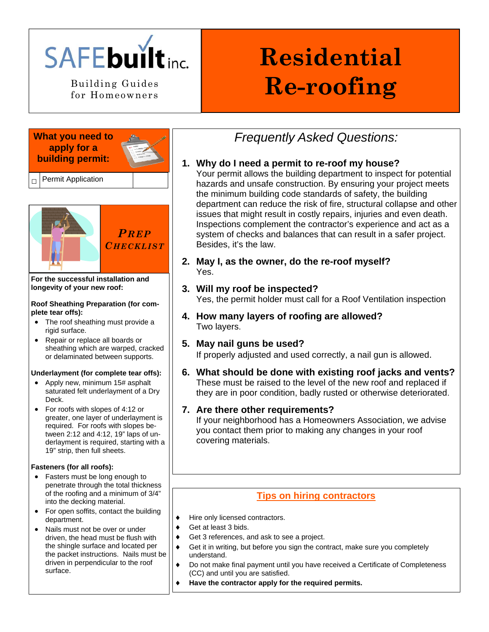

for Homeowners

# **Residential**  Building Guides **Re-roofing**

#### **What you need to apply for a building permit:**



**Permit Application** 



**For the successful installation and longevity of your new roof:** 

#### **Roof Sheathing Preparation (for complete tear offs):**

- The roof sheathing must provide a rigid surface.
- Repair or replace all boards or sheathing which are warped, cracked or delaminated between supports.

#### **Underlayment (for complete tear offs):**

- Apply new, minimum 15# asphalt saturated felt underlayment of a Dry Deck.
- For roofs with slopes of 4:12 or greater, one layer of underlayment is required. For roofs with slopes between 2:12 and 4:12, 19" laps of underlayment is required, starting with a 19" strip, then full sheets.

#### **Fasteners (for all roofs):**

- Fasters must be long enough to penetrate through the total thickness of the roofing and a minimum of 3/4" into the decking material.
- For open soffits, contact the building department.
- Nails must not be over or under driven, the head must be flush with the shingle surface and located per the packet instructions. Nails must be driven in perpendicular to the roof surface.

## *Frequently Asked Questions:*

#### **1. Why do I need a permit to re-roof my house?**

Your permit allows the building department to inspect for potential hazards and unsafe construction. By ensuring your project meets the minimum building code standards of safety, the building department can reduce the risk of fire, structural collapse and other issues that might result in costly repairs, injuries and even death. Inspections complement the contractor's experience and act as a system of checks and balances that can result in a safer project. Besides, it's the law.

- **2. May I, as the owner, do the re-roof myself?**  Yes.
- **3. Will my roof be inspected?**  Yes, the permit holder must call for a Roof Ventilation inspection
- **4. How many layers of roofing are allowed?**  Two layers.
- **5. May nail guns be used?**  If properly adjusted and used correctly, a nail gun is allowed.
- **6. What should be done with existing roof jacks and vents?**  These must be raised to the level of the new roof and replaced if they are in poor condition, badly rusted or otherwise deteriorated.

#### **7. Are there other requirements?**

If your neighborhood has a Homeowners Association, we advise you contact them prior to making any changes in your roof covering materials.

### **Tips on hiring contractors**

- Hire only licensed contractors.
- Get at least 3 bids.
- Get 3 references, and ask to see a project.
- Get it in writing, but before you sign the contract, make sure you completely understand.
- ♦ Do not make final payment until you have received a Certificate of Completeness (CC) and until you are satisfied.
	- Have the contractor apply for the required permits.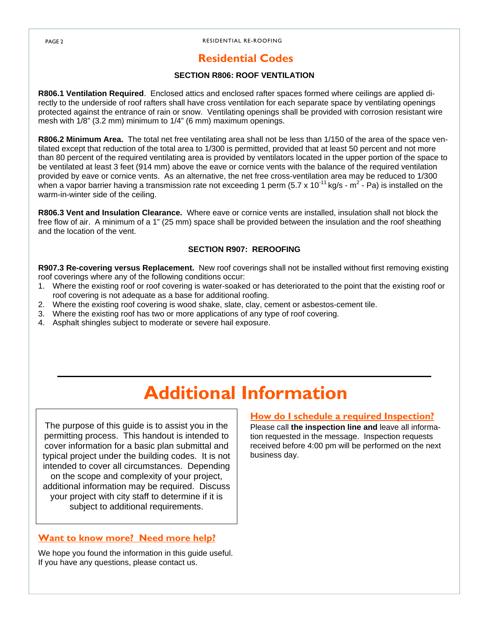#### RESIDENTIAL RE-ROOFING

## **Residential Codes**

#### **SECTION R806: ROOF VENTILATION**

**R806.1 Ventilation Required**. Enclosed attics and enclosed rafter spaces formed where ceilings are applied directly to the underside of roof rafters shall have cross ventilation for each separate space by ventilating openings protected against the entrance of rain or snow. Ventilating openings shall be provided with corrosion resistant wire mesh with 1/8" (3.2 mm) minimum to 1/4" (6 mm) maximum openings.

**R806.2 Minimum Area.** The total net free ventilating area shall not be less than 1/150 of the area of the space ventilated except that reduction of the total area to 1/300 is permitted, provided that at least 50 percent and not more than 80 percent of the required ventilating area is provided by ventilators located in the upper portion of the space to be ventilated at least 3 feet (914 mm) above the eave or cornice vents with the balance of the required ventilation provided by eave or cornice vents. As an alternative, the net free cross-ventilation area may be reduced to 1/300 when a vapor barrier having a transmission rate not exceeding 1 perm (5.7 x 10<sup>-11</sup> kg/s - m<sup>2</sup> - Pa) is installed on the warm-in-winter side of the ceiling.

**R806.3 Vent and Insulation Clearance.** Where eave or cornice vents are installed, insulation shall not block the free flow of air. A minimum of a 1" (25 mm) space shall be provided between the insulation and the roof sheathing and the location of the vent.

#### **SECTION R907: REROOFING**

**R907.3 Re-covering versus Replacement.** New roof coverings shall not be installed without first removing existing roof coverings where any of the following conditions occur:

- 1. Where the existing roof or roof covering is water-soaked or has deteriorated to the point that the existing roof or roof covering is not adequate as a base for additional roofing.
- 2. Where the existing roof covering is wood shake, slate, clay, cement or asbestos-cement tile.
- 3. Where the existing roof has two or more applications of any type of roof covering.
- 4. Asphalt shingles subject to moderate or severe hail exposure.

## **Additional Information**

The purpose of this guide is to assist you in the permitting process. This handout is intended to cover information for a basic plan submittal and typical project under the building codes. It is not intended to cover all circumstances. Depending on the scope and complexity of your project, additional information may be required. Discuss your project with city staff to determine if it is subject to additional requirements.

#### **Want to know more? Need more help?**

We hope you found the information in this guide useful. If you have any questions, please contact us.

#### **How do I schedule a required Inspection?**

Please call **the inspection line and** leave all information requested in the message. Inspection requests received before 4:00 pm will be performed on the next business day.

PAGE 2